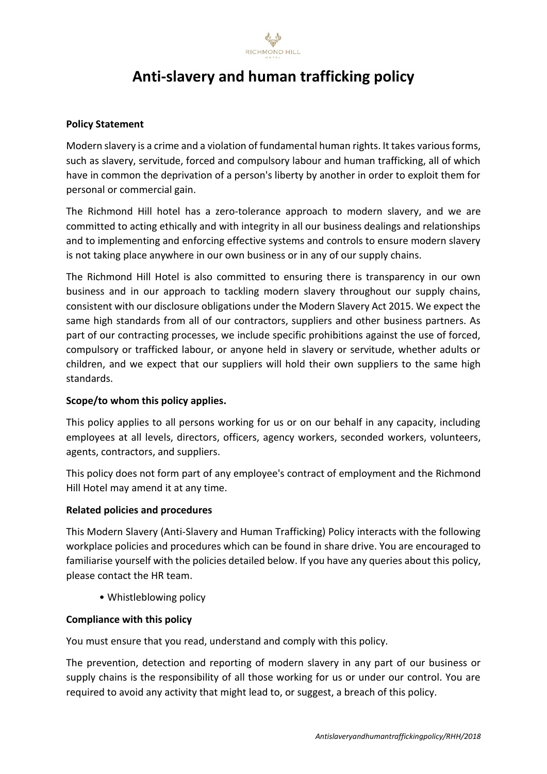

# **Anti-slavery and human trafficking policy**

## **Policy Statement**

Modern slavery is a crime and a violation of fundamental human rights. It takes various forms, such as slavery, servitude, forced and compulsory labour and human trafficking, all of which have in common the deprivation of a person's liberty by another in order to exploit them for personal or commercial gain.

The Richmond Hill hotel has a zero-tolerance approach to modern slavery, and we are committed to acting ethically and with integrity in all our business dealings and relationships and to implementing and enforcing effective systems and controls to ensure modern slavery is not taking place anywhere in our own business or in any of our supply chains.

The Richmond Hill Hotel is also committed to ensuring there is transparency in our own business and in our approach to tackling modern slavery throughout our supply chains, consistent with our disclosure obligations under the Modern Slavery Act 2015. We expect the same high standards from all of our contractors, suppliers and other business partners. As part of our contracting processes, we include specific prohibitions against the use of forced, compulsory or trafficked labour, or anyone held in slavery or servitude, whether adults or children, and we expect that our suppliers will hold their own suppliers to the same high standards.

### **Scope/to whom this policy applies.**

This policy applies to all persons working for us or on our behalf in any capacity, including employees at all levels, directors, officers, agency workers, seconded workers, volunteers, agents, contractors, and suppliers.

This policy does not form part of any employee's contract of employment and the Richmond Hill Hotel may amend it at any time.

### **Related policies and procedures**

This Modern Slavery (Anti-Slavery and Human Trafficking) Policy interacts with the following workplace policies and procedures which can be found in share drive. You are encouraged to familiarise yourself with the policies detailed below. If you have any queries about this policy, please contact the HR team.

• Whistleblowing policy

### **Compliance with this policy**

You must ensure that you read, understand and comply with this policy.

The prevention, detection and reporting of modern slavery in any part of our business or supply chains is the responsibility of all those working for us or under our control. You are required to avoid any activity that might lead to, or suggest, a breach of this policy.